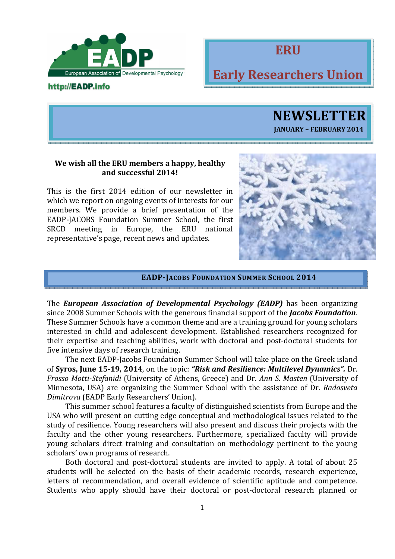

## http://EADP.info



# Early Researchers Union

**NEWSLETTER** JANUARY – FEBRUARY 2014

## We wish all the ERU members a happy, healthy and successful 2014!

This is the first 2014 edition of our newsletter in which we report on ongoing events of interests for our members. We provide a brief presentation of the EADP-JACOBS Foundation Summer School, the first SRCD meeting in Europe, the ERU national representative's page, recent news and updates.



#### EADP-JACOBS FOUNDATION SUMMER SCHOOL 2014

The **European Association of Developmental Psychology (EADP)** has been organizing since 2008 Summer Schools with the generous financial support of the *Jacobs Foundation*. These Summer Schools have a common theme and are a training ground for young scholars interested in child and adolescent development. Established researchers recognized for their expertise and teaching abilities, work with doctoral and post-doctoral students for five intensive days of research training.

 The next EADP-Jacobs Foundation Summer School will take place on the Greek island of Syros, June 15-19, 2014, on the topic: "Risk and Resilience: Multilevel Dynamics". Dr. Frosso Motti-Stefanidi (University of Athens, Greece) and Dr. Ann S. Masten (University of Minnesota, USA) are organizing the Summer School with the assistance of Dr. Radosveta Dimitrova (EADP Early Researchers' Union).

 This summer school features a faculty of distinguished scientists from Europe and the USA who will present on cutting edge conceptual and methodological issues related to the study of resilience. Young researchers will also present and discuss their projects with the faculty and the other young researchers. Furthermore, specialized faculty will provide young scholars direct training and consultation on methodology pertinent to the young scholars' own programs of research.

 Both doctoral and post-doctoral students are invited to apply. A total of about 25 students will be selected on the basis of their academic records, research experience, letters of recommendation, and overall evidence of scientific aptitude and competence. Students who apply should have their doctoral or post-doctoral research planned or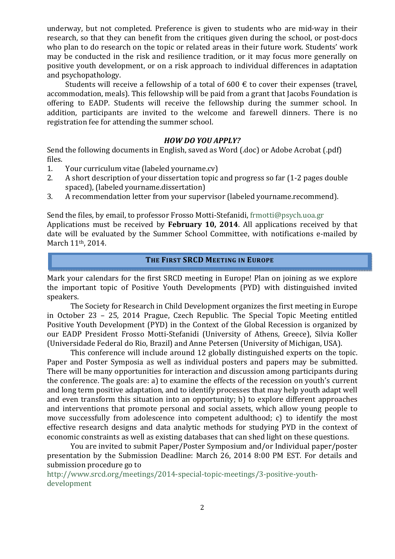underway, but not completed. Preference is given to students who are mid-way in their research, so that they can benefit from the critiques given during the school, or post-docs who plan to do research on the topic or related areas in their future work. Students' work may be conducted in the risk and resilience tradition, or it may focus more generally on positive youth development, or on a risk approach to individual differences in adaptation and psychopathology.

Students will receive a fellowship of a total of 600  $\epsilon$  to cover their expenses (travel, accommodation, meals). This fellowship will be paid from a grant that Jacobs Foundation is offering to EADP. Students will receive the fellowship during the summer school. In addition, participants are invited to the welcome and farewell dinners. There is no registration fee for attending the summer school.

## HOW DO YOU APPLY?

Send the following documents in English, saved as Word (.doc) or Adobe Acrobat (.pdf) files.

- 1. Your curriculum vitae (labeled yourname.cv)
- 2. A short description of your dissertation topic and progress so far (1-2 pages double spaced), (labeled yourname.dissertation)
- 3. A recommendation letter from your supervisor (labeled yourname.recommend).

Send the files, by email, to professor Frosso Motti-Stefanidi, frmotti@psych.uoa.gr Applications must be received by February 10, 2014. All applications received by that date will be evaluated by the Summer School Committee, with notifications e-mailed by March 11th, 2014.

## THE FIRST SRCD MEETING IN EUROPE

Mark your calendars for the first SRCD meeting in Europe! Plan on joining as we explore the important topic of Positive Youth Developments (PYD) with distinguished invited speakers.

 The Society for Research in Child Development organizes the first meeting in Europe in October 23 – 25, 2014 Prague, Czech Republic. The Special Topic Meeting entitled Positive Youth Development (PYD) in the Context of the Global Recession is organized by our EADP President Frosso Motti-Stefanidi (University of Athens, Greece), Silvia Koller (Universidade Federal do Rio, Brazil) and Anne Petersen (University of Michigan, USA).

 This conference will include around 12 globally distinguished experts on the topic. Paper and Poster Symposia as well as individual posters and papers may be submitted. There will be many opportunities for interaction and discussion among participants during the conference. The goals are: a) to examine the effects of the recession on youth's current and long term positive adaptation, and to identify processes that may help youth adapt well and even transform this situation into an opportunity; b) to explore different approaches and interventions that promote personal and social assets, which allow young people to move successfully from adolescence into competent adulthood; c) to identify the most effective research designs and data analytic methods for studying PYD in the context of economic constraints as well as existing databases that can shed light on these questions.

 You are invited to submit Paper/Poster Symposium and/or Individual paper/poster presentation by the Submission Deadline: March 26, 2014 8:00 PM EST. For details and submission procedure go to

http://www.srcd.org/meetings/2014-special-topic-meetings/3-positive-youthdevelopment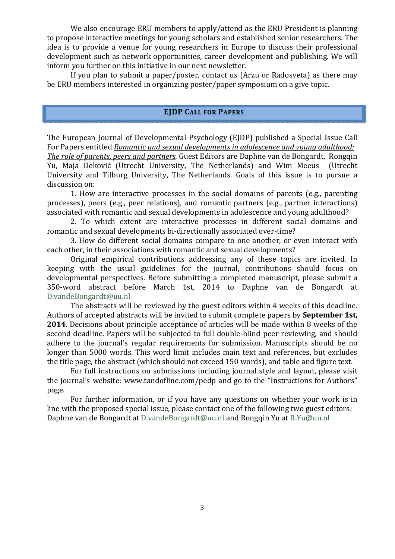We also encourage ERU members to apply/attend as the ERU President is planning to propose interactive meetings for young scholars and established senior researchers. The idea is to provide a venue for young researchers in Europe to discuss their professional development such as network opportunities, career development and publishing. We will inform you further on this initiative in our next newsletter.

 If you plan to submit a paper/poster, contact us (Arzu or Radosveta) as there may be ERU members interested in organizing poster/paper symposium on a give topic.

## EJDP CALL FOR PAPERS

The European Journal of Developmental Psychology (EJDP) published a Special Issue Call For Papers entitled Romantic and sexual developments in adolescence and young adulthood: The role of parents, peers and partners. Guest Editors are Daphne van de Bongardt, Rongqin Yu, Maja Deković (Utrecht University, The Netherlands) and Wim Meeus (Utrecht University and Tilburg University, The Netherlands. Goals of this issue is to pursue a discussion on:

 1. How are interactive processes in the social domains of parents (e.g., parenting processes), peers (e.g., peer relations), and romantic partners (e.g., partner interactions) associated with romantic and sexual developments in adolescence and young adulthood?

 2. To which extent are interactive processes in different social domains and romantic and sexual developments bi-directionally associated over-time?

 3. How do different social domains compare to one another, or even interact with each other, in their associations with romantic and sexual developments?

 Original empirical contributions addressing any of these topics are invited. In keeping with the usual guidelines for the journal, contributions should focus on developmental perspectives. Before submitting a completed manuscript, please submit a 350-word abstract before March 1st, 2014 to Daphne van de Bongardt at D.vandeBongardt@uu.nl

 The abstracts will be reviewed by the guest editors within 4 weeks of this deadline. Authors of accepted abstracts will be invited to submit complete papers by **September 1st**, 2014. Decisions about principle acceptance of articles will be made within 8 weeks of the second deadline. Papers will be subjected to full double-blind peer reviewing, and should adhere to the journal's regular requirements for submission. Manuscripts should be no longer than 5000 words. This word limit includes main text and references, but excludes the title page, the abstract (which should not exceed 150 words), and table and figure text.

 For full instructions on submissions including journal style and layout, please visit the journal's website: www.tandofline.com/pedp and go to the "Instructions for Authors" page.

 For further information, or if you have any questions on whether your work is in line with the proposed special issue, please contact one of the following two guest editors: Daphne van de Bongardt at D.vandeBongardt@uu.nl and Rongqin Yu at R.Yu@uu.nl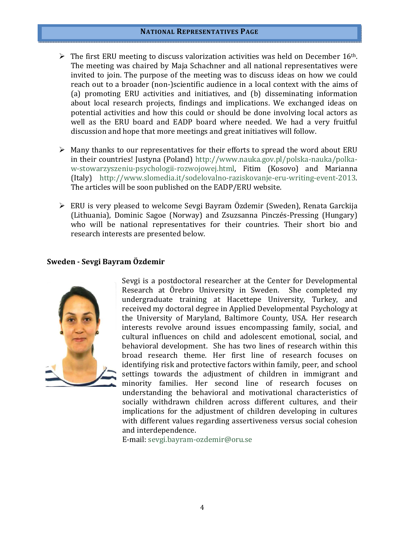#### NATIONAL REPRESENTATIVES PAGE

- $\triangleright$  The first ERU meeting to discuss valorization activities was held on December 16<sup>th</sup>. The meeting was chaired by Maja Schachner and all national representatives were invited to join. The purpose of the meeting was to discuss ideas on how we could reach out to a broader (non-)scientific audience in a local context with the aims of (a) promoting ERU activities and initiatives, and (b) disseminating information about local research projects, findings and implications. We exchanged ideas on potential activities and how this could or should be done involving local actors as well as the ERU board and EADP board where needed. We had a very fruitful discussion and hope that more meetings and great initiatives will follow.
- $\triangleright$  Many thanks to our representatives for their efforts to spread the word about ERU in their countries! Justyna (Poland) http://www.nauka.gov.pl/polska-nauka/polkaw-stowarzyszeniu-psychologii-rozwojowej.html, Fitim (Kosovo) and Marianna (Italy) http://www.slomedia.it/sodelovalno-raziskovanje-eru-writing-event-2013. The articles will be soon published on the EADP/ERU website.
- ERU is very pleased to welcome Sevgi Bayram Özdemir (Sweden), Renata Garckija (Lithuania), Dominic Sagoe (Norway) and Zsuzsanna Pinczés-Pressing (Hungary) who will be national representatives for their countries. Their short bio and research interests are presented below.

## Sweden - Sevgi Bayram Özdemir



Sevgi is a postdoctoral researcher at the Center for Developmental Research at Örebro University in Sweden. She completed my undergraduate training at Hacettepe University, Turkey, and received my doctoral degree in Applied Developmental Psychology at the University of Maryland, Baltimore County, USA. Her research interests revolve around issues encompassing family, social, and cultural influences on child and adolescent emotional, social, and behavioral development. She has two lines of research within this broad research theme. Her first line of research focuses on identifying risk and protective factors within family, peer, and school settings towards the adjustment of children in immigrant and minority families. Her second line of research focuses on understanding the behavioral and motivational characteristics of socially withdrawn children across different cultures, and their implications for the adjustment of children developing in cultures with different values regarding assertiveness versus social cohesion and interdependence.

E-mail: sevgi.bayram-ozdemir@oru.se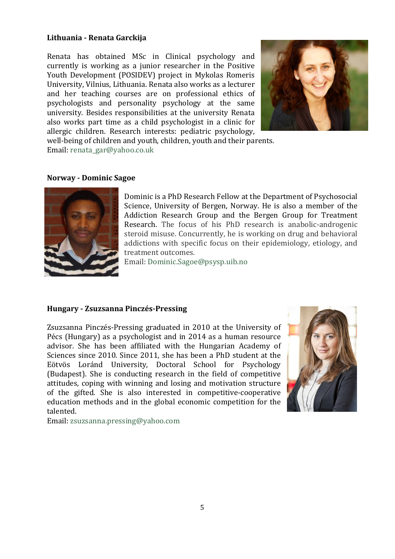## Lithuania - Renata Garckija

Renata has obtained MSc in Clinical psychology and currently is working as a junior researcher in the Positive Youth Development (POSIDEV) project in Mykolas Romeris University, Vilnius, Lithuania. Renata also works as a lecturer and her teaching courses are on professional ethics of psychologists and personality psychology at the same university. Besides responsibilities at the university Renata also works part time as a child psychologist in a clinic for allergic children. Research interests: pediatric psychology,



well-being of children and youth, children, youth and their parents. Email: renata\_gar@yahoo.co.uk

## Norway - Dominic Sagoe



Dominic is a PhD Research Fellow at the Department of Psychosocial Science, University of Bergen, Norway. He is also a member of the Addiction Research Group and the Bergen Group for Treatment Research. The focus of his PhD research is anabolic-androgenic steroid misuse. Concurrently, he is working on drug and behavioral addictions with specific focus on their epidemiology, etiology, and treatment outcomes.

Email: Dominic.Sagoe@psysp.uib.no

## Hungary - Zsuzsanna Pinczés-Pressing

Zsuzsanna Pinczés-Pressing graduated in 2010 at the University of Pécs (Hungary) as a psychologist and in 2014 as a human resource advisor. She has been affiliated with the Hungarian Academy of Sciences since 2010. Since 2011, she has been a PhD student at the Eötvös Loránd University, Doctoral School for Psychology (Budapest). She is conducting research in the field of competitive attitudes, coping with winning and losing and motivation structure of the gifted. She is also interested in competitive-cooperative education methods and in the global economic competition for the talented.



Email: zsuzsanna.pressing@yahoo.com